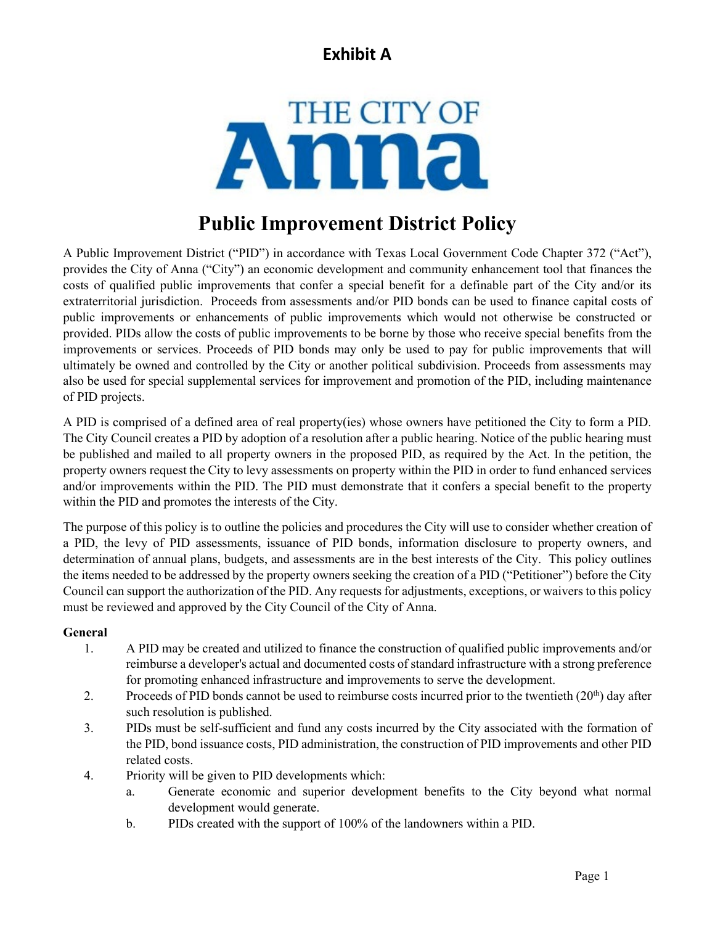

# **Public Improvement District Policy**

A Public Improvement District ("PID") in accordance with Texas Local Government Code Chapter 372 ("Act"), provides the City of Anna ("City") an economic development and community enhancement tool that finances the costs of qualified public improvements that confer a special benefit for a definable part of the City and/or its extraterritorial jurisdiction. Proceeds from assessments and/or PID bonds can be used to finance capital costs of public improvements or enhancements of public improvements which would not otherwise be constructed or provided. PIDs allow the costs of public improvements to be borne by those who receive special benefits from the improvements or services. Proceeds of PID bonds may only be used to pay for public improvements that will ultimately be owned and controlled by the City or another political subdivision. Proceeds from assessments may also be used for special supplemental services for improvement and promotion of the PID, including maintenance of PID projects.

A PID is comprised of a defined area of real property(ies) whose owners have petitioned the City to form a PID. The City Council creates a PID by adoption of a resolution after a public hearing. Notice of the public hearing must be published and mailed to all property owners in the proposed PID, as required by the Act. In the petition, the property owners request the City to levy assessments on property within the PID in order to fund enhanced services and/or improvements within the PID. The PID must demonstrate that it confers a special benefit to the property within the PID and promotes the interests of the City.

The purpose of this policy is to outline the policies and procedures the City will use to consider whether creation of a PID, the levy of PID assessments, issuance of PID bonds, information disclosure to property owners, and determination of annual plans, budgets, and assessments are in the best interests of the City. This policy outlines the items needed to be addressed by the property owners seeking the creation of a PID ("Petitioner") before the City Council can support the authorization of the PID. Any requests for adjustments, exceptions, or waivers to this policy must be reviewed and approved by the City Council of the City of Anna.

# **General**

- 1. A PID may be created and utilized to finance the construction of qualified public improvements and/or reimburse a developer's actual and documented costs of standard infrastructure with a strong preference for promoting enhanced infrastructure and improvements to serve the development.
- 2. Proceeds of PID bonds cannot be used to reimburse costs incurred prior to the twentieth  $(20<sup>th</sup>)$  day after such resolution is published.
- 3. PIDs must be self-sufficient and fund any costs incurred by the City associated with the formation of the PID, bond issuance costs, PID administration, the construction of PID improvements and other PID related costs.
- 4. Priority will be given to PID developments which:
	- a. Generate economic and superior development benefits to the City beyond what normal development would generate.
	- b. PIDs created with the support of 100% of the landowners within a PID.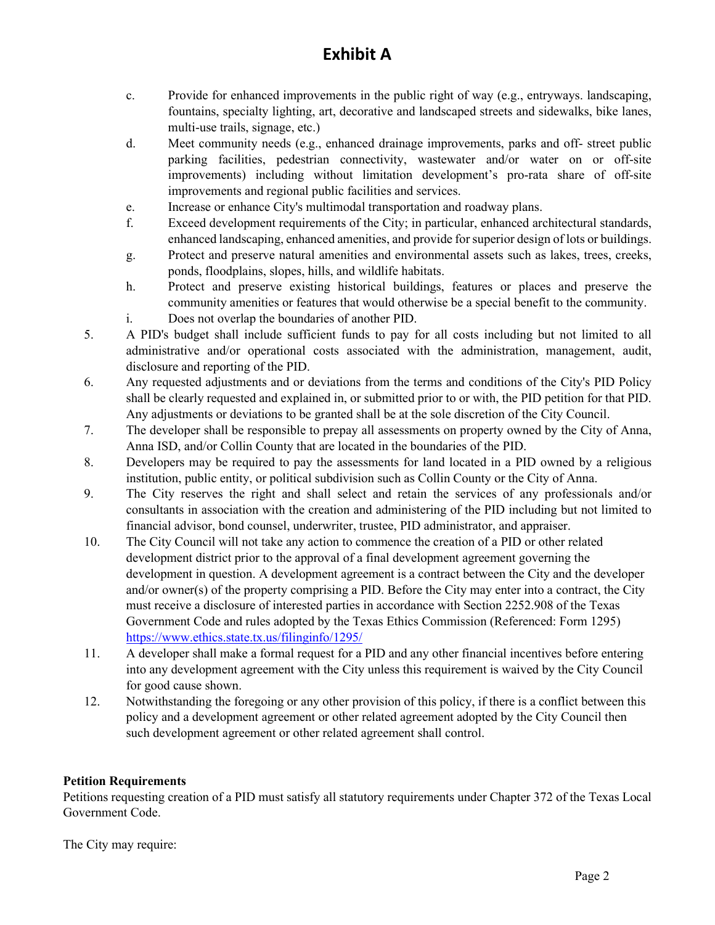- c. Provide for enhanced improvements in the public right of way (e.g., entryways. landscaping, fountains, specialty lighting, art, decorative and landscaped streets and sidewalks, bike lanes, multi-use trails, signage, etc.)
- d. Meet community needs (e.g., enhanced drainage improvements, parks and off- street public parking facilities, pedestrian connectivity, wastewater and/or water on or off-site improvements) including without limitation development's pro-rata share of off-site improvements and regional public facilities and services.
- e. Increase or enhance City's multimodal transportation and roadway plans.
- f. Exceed development requirements of the City; in particular, enhanced architectural standards, enhanced landscaping, enhanced amenities, and provide for superior design of lots or buildings.
- g. Protect and preserve natural amenities and environmental assets such as lakes, trees, creeks, ponds, floodplains, slopes, hills, and wildlife habitats.
- h. Protect and preserve existing historical buildings, features or places and preserve the community amenities or features that would otherwise be a special benefit to the community.
- i. Does not overlap the boundaries of another PID.
- 5. A PID's budget shall include sufficient funds to pay for all costs including but not limited to all administrative and/or operational costs associated with the administration, management, audit, disclosure and reporting of the PID.
- 6. Any requested adjustments and or deviations from the terms and conditions of the City's PID Policy shall be clearly requested and explained in, or submitted prior to or with, the PID petition for that PID. Any adjustments or deviations to be granted shall be at the sole discretion of the City Council.
- 7. The developer shall be responsible to prepay all assessments on property owned by the City of Anna, Anna ISD, and/or Collin County that are located in the boundaries of the PID.
- 8. Developers may be required to pay the assessments for land located in a PID owned by a religious institution, public entity, or political subdivision such as Collin County or the City of Anna.
- 9. The City reserves the right and shall select and retain the services of any professionals and/or consultants in association with the creation and administering of the PID including but not limited to financial advisor, bond counsel, underwriter, trustee, PID administrator, and appraiser.
- 10. The City Council will not take any action to commence the creation of a PID or other related development district prior to the approval of a final development agreement governing the development in question. A development agreement is a contract between the City and the developer and/or owner(s) of the property comprising a PID. Before the City may enter into a contract, the City must receive a disclosure of interested parties in accordance with Section 2252.908 of the Texas Government Code and rules adopted by the Texas Ethics Commission (Referenced: Form 1295) <https://www.ethics.state.tx.us/filinginfo/1295/>
- 11. A developer shall make a formal request for a PID and any other financial incentives before entering into any development agreement with the City unless this requirement is waived by the City Council for good cause shown.
- 12. Notwithstanding the foregoing or any other provision of this policy, if there is a conflict between this policy and a development agreement or other related agreement adopted by the City Council then such development agreement or other related agreement shall control.

# **Petition Requirements**

Petitions requesting creation of a PID must satisfy all statutory requirements under Chapter 372 of the Texas Local Government Code.

The City may require: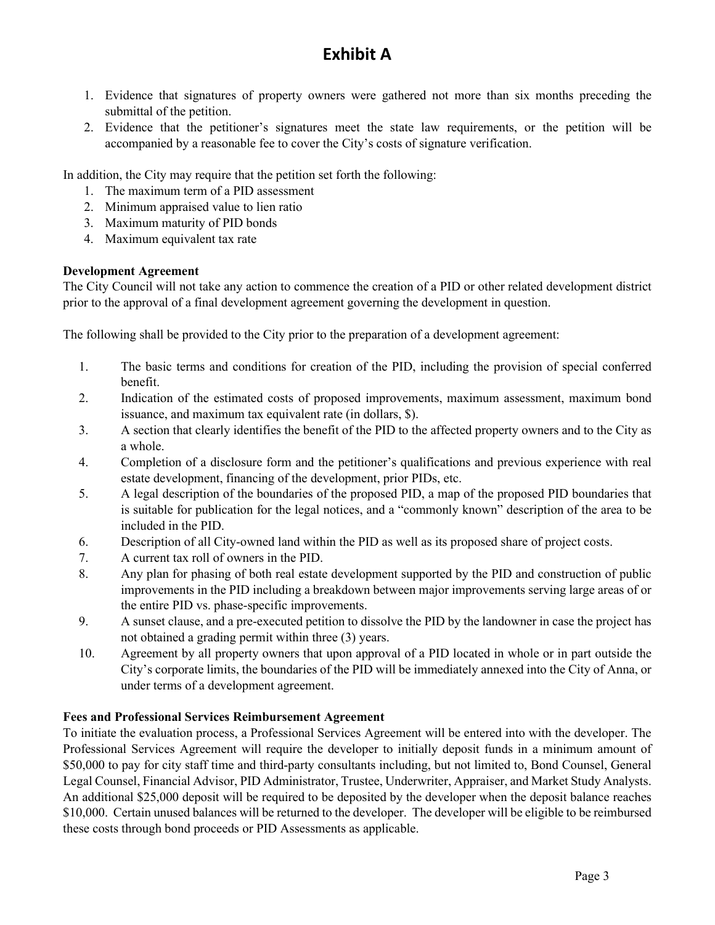- 1. Evidence that signatures of property owners were gathered not more than six months preceding the submittal of the petition.
- 2. Evidence that the petitioner's signatures meet the state law requirements, or the petition will be accompanied by a reasonable fee to cover the City's costs of signature verification.

In addition, the City may require that the petition set forth the following:

- 1. The maximum term of a PID assessment
- 2. Minimum appraised value to lien ratio
- 3. Maximum maturity of PID bonds
- 4. Maximum equivalent tax rate

### **Development Agreement**

The City Council will not take any action to commence the creation of a PID or other related development district prior to the approval of a final development agreement governing the development in question.

The following shall be provided to the City prior to the preparation of a development agreement:

- 1. The basic terms and conditions for creation of the PID, including the provision of special conferred benefit.
- 2. Indication of the estimated costs of proposed improvements, maximum assessment, maximum bond issuance, and maximum tax equivalent rate (in dollars, \$).
- 3. A section that clearly identifies the benefit of the PID to the affected property owners and to the City as a whole.
- 4. Completion of a disclosure form and the petitioner's qualifications and previous experience with real estate development, financing of the development, prior PIDs, etc.
- 5. A legal description of the boundaries of the proposed PID, a map of the proposed PID boundaries that is suitable for publication for the legal notices, and a "commonly known" description of the area to be included in the PID.
- 6. Description of all City-owned land within the PID as well as its proposed share of project costs.
- 7. A current tax roll of owners in the PID.
- 8. Any plan for phasing of both real estate development supported by the PID and construction of public improvements in the PID including a breakdown between major improvements serving large areas of or the entire PID vs. phase-specific improvements.
- 9. A sunset clause, and a pre-executed petition to dissolve the PID by the landowner in case the project has not obtained a grading permit within three (3) years.
- 10. Agreement by all property owners that upon approval of a PID located in whole or in part outside the City's corporate limits, the boundaries of the PID will be immediately annexed into the City of Anna, or under terms of a development agreement.

#### **Fees and Professional Services Reimbursement Agreement**

To initiate the evaluation process, a Professional Services Agreement will be entered into with the developer. The Professional Services Agreement will require the developer to initially deposit funds in a minimum amount of \$50,000 to pay for city staff time and third-party consultants including, but not limited to, Bond Counsel, General Legal Counsel, Financial Advisor, PID Administrator, Trustee, Underwriter, Appraiser, and Market Study Analysts. An additional \$25,000 deposit will be required to be deposited by the developer when the deposit balance reaches \$10,000. Certain unused balances will be returned to the developer. The developer will be eligible to be reimbursed these costs through bond proceeds or PID Assessments as applicable.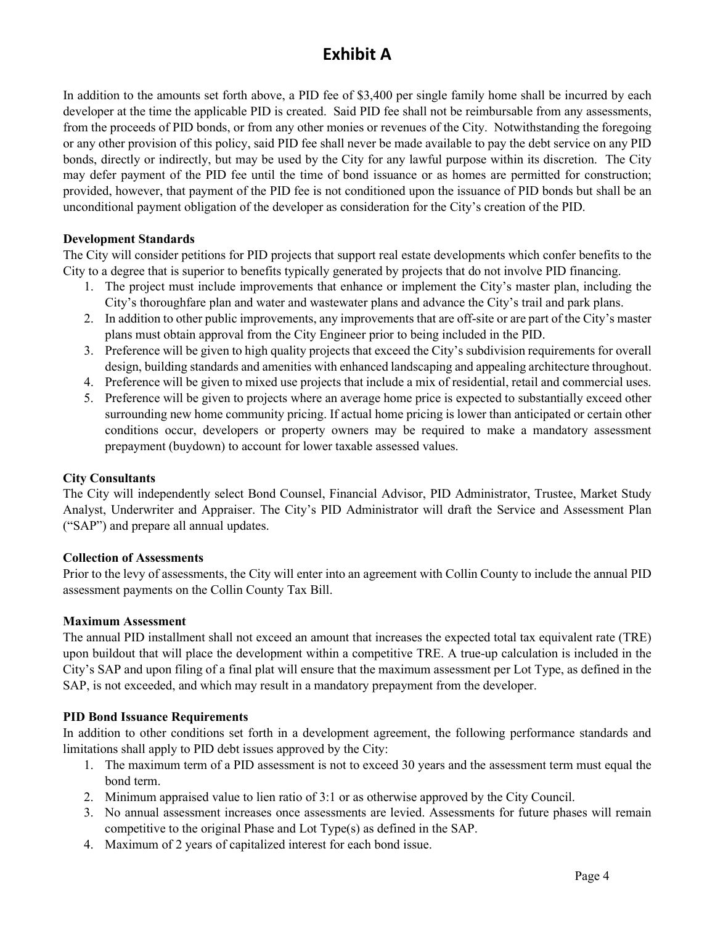In addition to the amounts set forth above, a PID fee of \$3,400 per single family home shall be incurred by each developer at the time the applicable PID is created. Said PID fee shall not be reimbursable from any assessments, from the proceeds of PID bonds, or from any other monies or revenues of the City. Notwithstanding the foregoing or any other provision of this policy, said PID fee shall never be made available to pay the debt service on any PID bonds, directly or indirectly, but may be used by the City for any lawful purpose within its discretion. The City may defer payment of the PID fee until the time of bond issuance or as homes are permitted for construction; provided, however, that payment of the PID fee is not conditioned upon the issuance of PID bonds but shall be an unconditional payment obligation of the developer as consideration for the City's creation of the PID.

### **Development Standards**

The City will consider petitions for PID projects that support real estate developments which confer benefits to the City to a degree that is superior to benefits typically generated by projects that do not involve PID financing.

- 1. The project must include improvements that enhance or implement the City's master plan, including the City's thoroughfare plan and water and wastewater plans and advance the City's trail and park plans.
- 2. In addition to other public improvements, any improvements that are off-site or are part of the City's master plans must obtain approval from the City Engineer prior to being included in the PID.
- 3. Preference will be given to high quality projects that exceed the City's subdivision requirements for overall design, building standards and amenities with enhanced landscaping and appealing architecture throughout.
- 4. Preference will be given to mixed use projects that include a mix of residential, retail and commercial uses.
- 5. Preference will be given to projects where an average home price is expected to substantially exceed other surrounding new home community pricing. If actual home pricing is lower than anticipated or certain other conditions occur, developers or property owners may be required to make a mandatory assessment prepayment (buydown) to account for lower taxable assessed values.

#### **City Consultants**

The City will independently select Bond Counsel, Financial Advisor, PID Administrator, Trustee, Market Study Analyst, Underwriter and Appraiser. The City's PID Administrator will draft the Service and Assessment Plan ("SAP") and prepare all annual updates.

#### **Collection of Assessments**

Prior to the levy of assessments, the City will enter into an agreement with Collin County to include the annual PID assessment payments on the Collin County Tax Bill.

#### **Maximum Assessment**

The annual PID installment shall not exceed an amount that increases the expected total tax equivalent rate (TRE) upon buildout that will place the development within a competitive TRE. A true-up calculation is included in the City's SAP and upon filing of a final plat will ensure that the maximum assessment per Lot Type, as defined in the SAP, is not exceeded, and which may result in a mandatory prepayment from the developer.

#### **PID Bond Issuance Requirements**

In addition to other conditions set forth in a development agreement, the following performance standards and limitations shall apply to PID debt issues approved by the City:

- 1. The maximum term of a PID assessment is not to exceed 30 years and the assessment term must equal the bond term.
- 2. Minimum appraised value to lien ratio of 3:1 or as otherwise approved by the City Council.
- 3. No annual assessment increases once assessments are levied. Assessments for future phases will remain competitive to the original Phase and Lot Type(s) as defined in the SAP.
- 4. Maximum of 2 years of capitalized interest for each bond issue.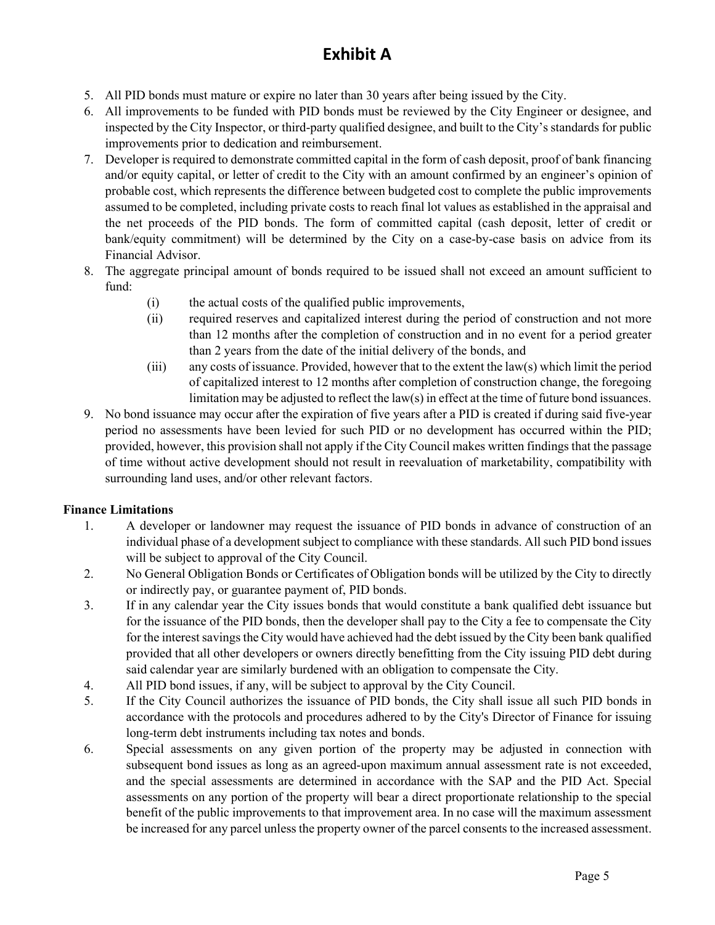- 5. All PID bonds must mature or expire no later than 30 years after being issued by the City.
- 6. All improvements to be funded with PID bonds must be reviewed by the City Engineer or designee, and inspected by the City Inspector, or third-party qualified designee, and built to the City's standards for public improvements prior to dedication and reimbursement.
- 7. Developer is required to demonstrate committed capital in the form of cash deposit, proof of bank financing and/or equity capital, or letter of credit to the City with an amount confirmed by an engineer's opinion of probable cost, which represents the difference between budgeted cost to complete the public improvements assumed to be completed, including private costs to reach final lot values as established in the appraisal and the net proceeds of the PID bonds. The form of committed capital (cash deposit, letter of credit or bank/equity commitment) will be determined by the City on a case-by-case basis on advice from its Financial Advisor.
- 8. The aggregate principal amount of bonds required to be issued shall not exceed an amount sufficient to fund:
	- (i) the actual costs of the qualified public improvements,
	- (ii) required reserves and capitalized interest during the period of construction and not more than 12 months after the completion of construction and in no event for a period greater than 2 years from the date of the initial delivery of the bonds, and
	- (iii) any costs of issuance. Provided, however that to the extent the law(s) which limit the period of capitalized interest to 12 months after completion of construction change, the foregoing limitation may be adjusted to reflect the law(s) in effect at the time of future bond issuances.
- 9. No bond issuance may occur after the expiration of five years after a PID is created if during said five-year period no assessments have been levied for such PID or no development has occurred within the PID; provided, however, this provision shall not apply if the City Council makes written findings that the passage of time without active development should not result in reevaluation of marketability, compatibility with surrounding land uses, and/or other relevant factors.

# **Finance Limitations**

- 1. A developer or landowner may request the issuance of PID bonds in advance of construction of an individual phase of a development subject to compliance with these standards. All such PID bond issues will be subject to approval of the City Council.
- 2. No General Obligation Bonds or Certificates of Obligation bonds will be utilized by the City to directly or indirectly pay, or guarantee payment of, PID bonds.
- 3. If in any calendar year the City issues bonds that would constitute a bank qualified debt issuance but for the issuance of the PID bonds, then the developer shall pay to the City a fee to compensate the City for the interest savings the City would have achieved had the debt issued by the City been bank qualified provided that all other developers or owners directly benefitting from the City issuing PID debt during said calendar year are similarly burdened with an obligation to compensate the City.
- 4. All PID bond issues, if any, will be subject to approval by the City Council.
- 5. If the City Council authorizes the issuance of PID bonds, the City shall issue all such PID bonds in accordance with the protocols and procedures adhered to by the City's Director of Finance for issuing long-term debt instruments including tax notes and bonds.
- 6. Special assessments on any given portion of the property may be adjusted in connection with subsequent bond issues as long as an agreed-upon maximum annual assessment rate is not exceeded, and the special assessments are determined in accordance with the SAP and the PID Act. Special assessments on any portion of the property will bear a direct proportionate relationship to the special benefit of the public improvements to that improvement area. In no case will the maximum assessment be increased for any parcel unless the property owner of the parcel consents to the increased assessment.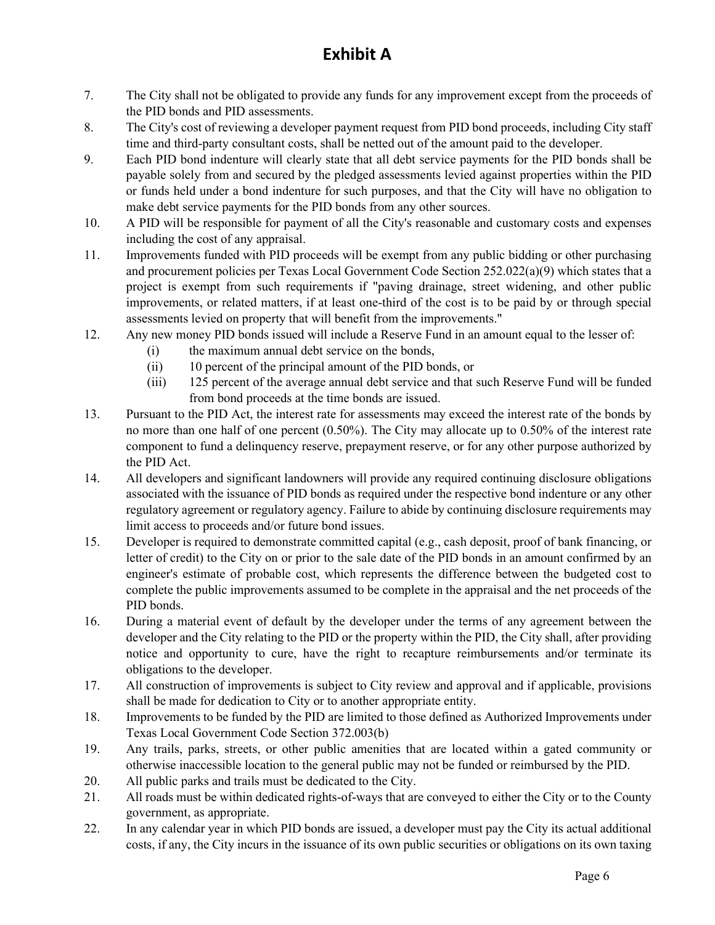- 7. The City shall not be obligated to provide any funds for any improvement except from the proceeds of the PID bonds and PID assessments.
- 8. The City's cost of reviewing a developer payment request from PID bond proceeds, including City staff time and third-party consultant costs, shall be netted out of the amount paid to the developer.
- 9. Each PID bond indenture will clearly state that all debt service payments for the PID bonds shall be payable solely from and secured by the pledged assessments levied against properties within the PID or funds held under a bond indenture for such purposes, and that the City will have no obligation to make debt service payments for the PID bonds from any other sources.
- 10. A PID will be responsible for payment of all the City's reasonable and customary costs and expenses including the cost of any appraisal.
- 11. Improvements funded with PID proceeds will be exempt from any public bidding or other purchasing and procurement policies per Texas Local Government Code Section 252.022(a)(9) which states that a project is exempt from such requirements if "paving drainage, street widening, and other public improvements, or related matters, if at least one-third of the cost is to be paid by or through special assessments levied on property that will benefit from the improvements."
- 12. Any new money PID bonds issued will include a Reserve Fund in an amount equal to the lesser of:
	- (i) the maximum annual debt service on the bonds,
	- (ii) 10 percent of the principal amount of the PID bonds, or
	- (iii) 125 percent of the average annual debt service and that such Reserve Fund will be funded from bond proceeds at the time bonds are issued.
- 13. Pursuant to the PID Act, the interest rate for assessments may exceed the interest rate of the bonds by no more than one half of one percent (0.50%). The City may allocate up to 0.50% of the interest rate component to fund a delinquency reserve, prepayment reserve, or for any other purpose authorized by the PID Act.
- 14. All developers and significant landowners will provide any required continuing disclosure obligations associated with the issuance of PID bonds as required under the respective bond indenture or any other regulatory agreement or regulatory agency. Failure to abide by continuing disclosure requirements may limit access to proceeds and/or future bond issues.
- 15. Developer is required to demonstrate committed capital (e.g., cash deposit, proof of bank financing, or letter of credit) to the City on or prior to the sale date of the PID bonds in an amount confirmed by an engineer's estimate of probable cost, which represents the difference between the budgeted cost to complete the public improvements assumed to be complete in the appraisal and the net proceeds of the PID bonds.
- 16. During a material event of default by the developer under the terms of any agreement between the developer and the City relating to the PID or the property within the PID, the City shall, after providing notice and opportunity to cure, have the right to recapture reimbursements and/or terminate its obligations to the developer.
- 17. All construction of improvements is subject to City review and approval and if applicable, provisions shall be made for dedication to City or to another appropriate entity.
- 18. Improvements to be funded by the PID are limited to those defined as Authorized Improvements under Texas Local Government Code Section 372.003(b)
- 19. Any trails, parks, streets, or other public amenities that are located within a gated community or otherwise inaccessible location to the general public may not be funded or reimbursed by the PID.
- 20. All public parks and trails must be dedicated to the City.
- 21. All roads must be within dedicated rights-of-ways that are conveyed to either the City or to the County government, as appropriate.
- 22. In any calendar year in which PID bonds are issued, a developer must pay the City its actual additional costs, if any, the City incurs in the issuance of its own public securities or obligations on its own taxing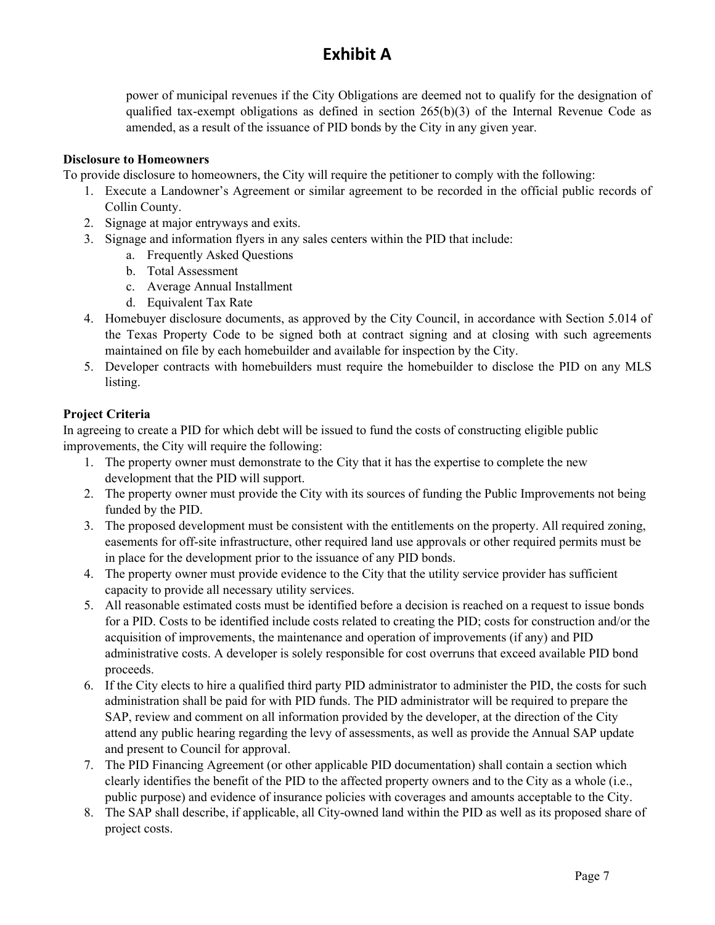power of municipal revenues if the City Obligations are deemed not to qualify for the designation of qualified tax-exempt obligations as defined in section  $265(b)(3)$  of the Internal Revenue Code as amended, as a result of the issuance of PID bonds by the City in any given year.

### **Disclosure to Homeowners**

To provide disclosure to homeowners, the City will require the petitioner to comply with the following:

- 1. Execute a Landowner's Agreement or similar agreement to be recorded in the official public records of Collin County.
- 2. Signage at major entryways and exits.
- 3. Signage and information flyers in any sales centers within the PID that include:
	- a. Frequently Asked Questions
	- b. Total Assessment
	- c. Average Annual Installment
	- d. Equivalent Tax Rate
- 4. Homebuyer disclosure documents, as approved by the City Council, in accordance with Section 5.014 of the Texas Property Code to be signed both at contract signing and at closing with such agreements maintained on file by each homebuilder and available for inspection by the City.
- 5. Developer contracts with homebuilders must require the homebuilder to disclose the PID on any MLS listing.

### **Project Criteria**

In agreeing to create a PID for which debt will be issued to fund the costs of constructing eligible public improvements, the City will require the following:

- 1. The property owner must demonstrate to the City that it has the expertise to complete the new development that the PID will support.
- 2. The property owner must provide the City with its sources of funding the Public Improvements not being funded by the PID.
- 3. The proposed development must be consistent with the entitlements on the property. All required zoning, easements for off-site infrastructure, other required land use approvals or other required permits must be in place for the development prior to the issuance of any PID bonds.
- 4. The property owner must provide evidence to the City that the utility service provider has sufficient capacity to provide all necessary utility services.
- 5. All reasonable estimated costs must be identified before a decision is reached on a request to issue bonds for a PID. Costs to be identified include costs related to creating the PID; costs for construction and/or the acquisition of improvements, the maintenance and operation of improvements (if any) and PID administrative costs. A developer is solely responsible for cost overruns that exceed available PID bond proceeds.
- 6. If the City elects to hire a qualified third party PID administrator to administer the PID, the costs for such administration shall be paid for with PID funds. The PID administrator will be required to prepare the SAP, review and comment on all information provided by the developer, at the direction of the City attend any public hearing regarding the levy of assessments, as well as provide the Annual SAP update and present to Council for approval.
- 7. The PID Financing Agreement (or other applicable PID documentation) shall contain a section which clearly identifies the benefit of the PID to the affected property owners and to the City as a whole (i.e., public purpose) and evidence of insurance policies with coverages and amounts acceptable to the City.
- 8. The SAP shall describe, if applicable, all City-owned land within the PID as well as its proposed share of project costs.